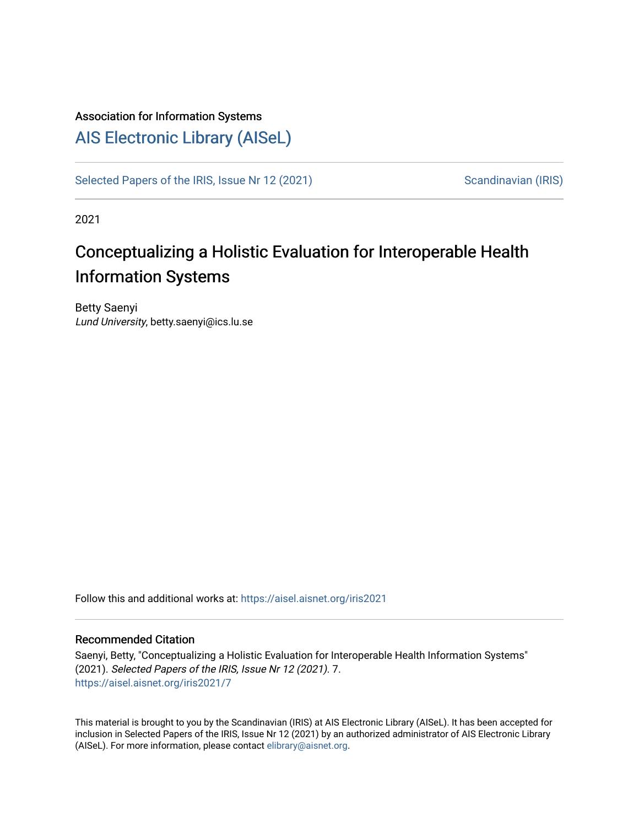#### Association for Information Systems

## [AIS Electronic Library \(AISeL\)](https://aisel.aisnet.org/)

[Selected Papers of the IRIS, Issue Nr 12 \(2021\)](https://aisel.aisnet.org/iris2021) Scandinavian (IRIS)

2021

# Conceptualizing a Holistic Evaluation for Interoperable Health Information Systems

Betty Saenyi Lund University, betty.saenyi@ics.lu.se

Follow this and additional works at: [https://aisel.aisnet.org/iris2021](https://aisel.aisnet.org/iris2021?utm_source=aisel.aisnet.org%2Firis2021%2F7&utm_medium=PDF&utm_campaign=PDFCoverPages) 

#### Recommended Citation

Saenyi, Betty, "Conceptualizing a Holistic Evaluation for Interoperable Health Information Systems" (2021). Selected Papers of the IRIS, Issue Nr 12 (2021). 7. [https://aisel.aisnet.org/iris2021/7](https://aisel.aisnet.org/iris2021/7?utm_source=aisel.aisnet.org%2Firis2021%2F7&utm_medium=PDF&utm_campaign=PDFCoverPages) 

This material is brought to you by the Scandinavian (IRIS) at AIS Electronic Library (AISeL). It has been accepted for inclusion in Selected Papers of the IRIS, Issue Nr 12 (2021) by an authorized administrator of AIS Electronic Library (AISeL). For more information, please contact [elibrary@aisnet.org](mailto:elibrary@aisnet.org%3E).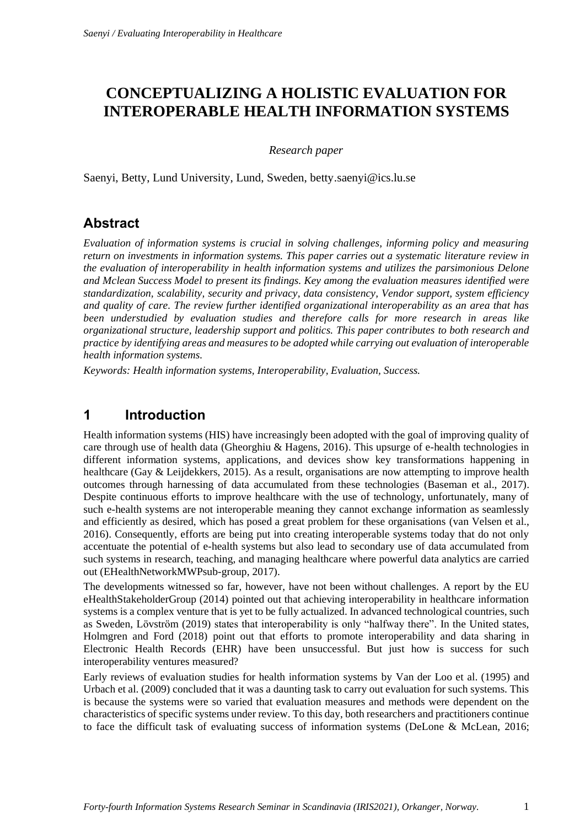## **CONCEPTUALIZING A HOLISTIC EVALUATION FOR INTEROPERABLE HEALTH INFORMATION SYSTEMS**

#### *Research paper*

Saenyi, Betty, Lund University, Lund, Sweden, betty.saenyi@ics.lu.se

### **Abstract**

*Evaluation of information systems is crucial in solving challenges, informing policy and measuring return on investments in information systems. This paper carries out a systematic literature review in the evaluation of interoperability in health information systems and utilizes the parsimonious Delone and Mclean Success Model to present its findings. Key among the evaluation measures identified were standardization, scalability, security and privacy, data consistency, Vendor support, system efficiency and quality of care. The review further identified organizational interoperability as an area that has been understudied by evaluation studies and therefore calls for more research in areas like organizational structure, leadership support and politics. This paper contributes to both research and practice by identifying areas and measures to be adopted while carrying out evaluation of interoperable health information systems.*

*Keywords: Health information systems, Interoperability, Evaluation, Success.*

### **1 Introduction**

Health information systems (HIS) have increasingly been adopted with the goal of improving quality of care through use of health data (Gheorghiu & Hagens, 2016). This upsurge of e-health technologies in different information systems, applications, and devices show key transformations happening in healthcare (Gay & Leijdekkers, 2015). As a result, organisations are now attempting to improve health outcomes through harnessing of data accumulated from these technologies (Baseman et al., 2017). Despite continuous efforts to improve healthcare with the use of technology, unfortunately, many of such e-health systems are not interoperable meaning they cannot exchange information as seamlessly and efficiently as desired, which has posed a great problem for these organisations (van Velsen et al., 2016). Consequently, efforts are being put into creating interoperable systems today that do not only accentuate the potential of e-health systems but also lead to secondary use of data accumulated from such systems in research, teaching, and managing healthcare where powerful data analytics are carried out (EHealthNetworkMWPsub-group, 2017).

The developments witnessed so far, however, have not been without challenges. A report by the EU eHealthStakeholderGroup (2014) pointed out that achieving interoperability in healthcare information systems is a complex venture that is yet to be fully actualized. In advanced technological countries, such as Sweden, Lövström (2019) states that interoperability is only "halfway there". In the United states, Holmgren and Ford (2018) point out that efforts to promote interoperability and data sharing in Electronic Health Records (EHR) have been unsuccessful. But just how is success for such interoperability ventures measured?

Early reviews of evaluation studies for health information systems by Van der Loo et al. (1995) and Urbach et al. (2009) concluded that it was a daunting task to carry out evaluation for such systems. This is because the systems were so varied that evaluation measures and methods were dependent on the characteristics of specific systems under review. To this day, both researchers and practitioners continue to face the difficult task of evaluating success of information systems (DeLone & McLean, 2016;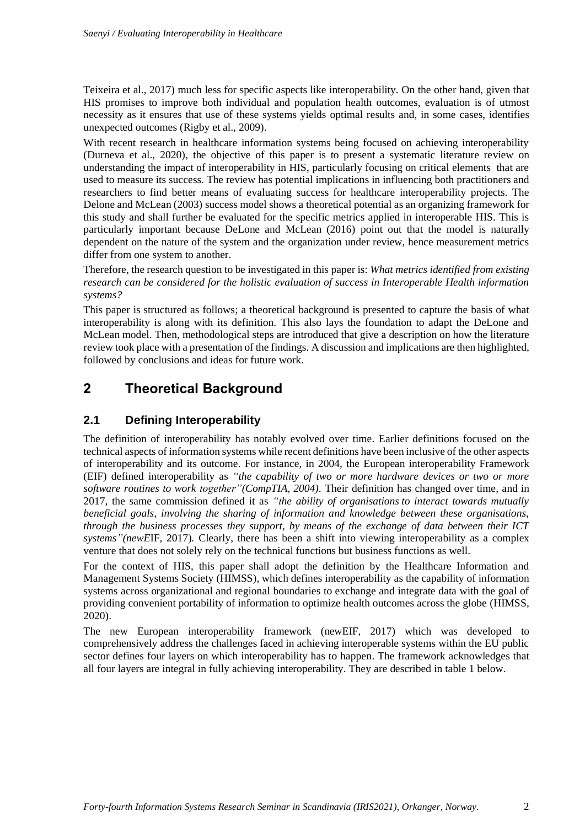Teixeira et al., 2017) much less for specific aspects like interoperability. On the other hand, given that HIS promises to improve both individual and population health outcomes, evaluation is of utmost necessity as it ensures that use of these systems yields optimal results and, in some cases, identifies unexpected outcomes (Rigby et al., 2009).

With recent research in healthcare information systems being focused on achieving interoperability (Durneva et al., 2020), the objective of this paper is to present a systematic literature review on understanding the impact of interoperability in HIS, particularly focusing on critical elements that are used to measure its success. The review has potential implications in influencing both practitioners and researchers to find better means of evaluating success for healthcare interoperability projects. The Delone and McLean (2003) success model shows a theoretical potential as an organizing framework for this study and shall further be evaluated for the specific metrics applied in interoperable HIS. This is particularly important because DeLone and McLean (2016) point out that the model is naturally dependent on the nature of the system and the organization under review, hence measurement metrics differ from one system to another.

Therefore, the research question to be investigated in this paper is: *What metrics identified from existing research can be considered for the holistic evaluation of success in Interoperable Health information systems?*

This paper is structured as follows; a theoretical background is presented to capture the basis of what interoperability is along with its definition. This also lays the foundation to adapt the DeLone and McLean model. Then, methodological steps are introduced that give a description on how the literature review took place with a presentation of the findings. A discussion and implications are then highlighted, followed by conclusions and ideas for future work.

## **2 Theoretical Background**

#### **2.1 Defining Interoperability**

The definition of interoperability has notably evolved over time. Earlier definitions focused on the technical aspects of information systems while recent definitions have been inclusive of the other aspects of interoperability and its outcome. For instance, in 2004, the European interoperability Framework (EIF) defined interoperability as *"the capability of two or more hardware devices or two or more software routines to work together"(CompTIA, 2004).* Their definition has changed over time, and in 2017, the same commission defined it as *"the ability of organisations to interact towards mutually beneficial goals, involving the sharing of information and knowledge between these organisations, through the business processes they support, by means of the exchange of data between their ICT systems"(newE*IF, 2017)*.* Clearly, there has been a shift into viewing interoperability as a complex venture that does not solely rely on the technical functions but business functions as well.

For the context of HIS, this paper shall adopt the definition by the Healthcare Information and Management Systems Society (HIMSS), which defines interoperability as the capability of information systems across organizational and regional boundaries to exchange and integrate data with the goal of providing convenient portability of information to optimize health outcomes across the globe (HIMSS, 2020).

The new European interoperability framework (newEIF, 2017) which was developed to comprehensively address the challenges faced in achieving interoperable systems within the EU public sector defines four layers on which interoperability has to happen. The framework acknowledges that all four layers are integral in fully achieving interoperability. They are described in table 1 below.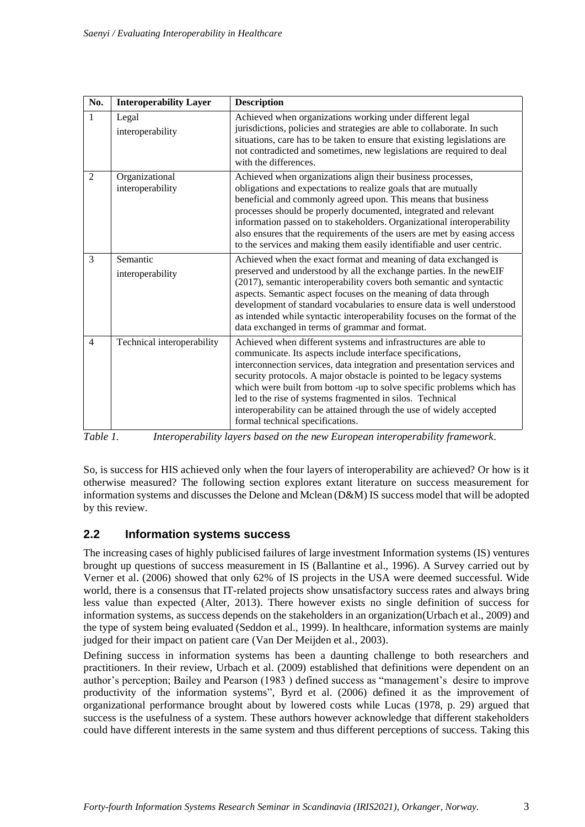| No.            | <b>Interoperability Layer</b>      | <b>Description</b>                                                                                                                                                                                                                                                                                                                                                                                                                                                                                                                 |
|----------------|------------------------------------|------------------------------------------------------------------------------------------------------------------------------------------------------------------------------------------------------------------------------------------------------------------------------------------------------------------------------------------------------------------------------------------------------------------------------------------------------------------------------------------------------------------------------------|
| 1              | Legal<br>interoperability          | Achieved when organizations working under different legal<br>jurisdictions, policies and strategies are able to collaborate. In such<br>situations, care has to be taken to ensure that existing legislations are<br>not contradicted and sometimes, new legislations are required to deal<br>with the differences.                                                                                                                                                                                                                |
| $\overline{2}$ | Organizational<br>interoperability | Achieved when organizations align their business processes,<br>obligations and expectations to realize goals that are mutually<br>beneficial and commonly agreed upon. This means that business<br>processes should be properly documented, integrated and relevant<br>information passed on to stakeholders. Organizational interoperability<br>also ensures that the requirements of the users are met by easing access<br>to the services and making them easily identifiable and user centric.                                 |
| $\overline{3}$ | Semantic<br>interoperability       | Achieved when the exact format and meaning of data exchanged is<br>preserved and understood by all the exchange parties. In the newEIF<br>(2017), semantic interoperability covers both semantic and syntactic<br>aspects. Semantic aspect focuses on the meaning of data through<br>development of standard vocabularies to ensure data is well understood<br>as intended while syntactic interoperability focuses on the format of the<br>data exchanged in terms of grammar and format.                                         |
| $\overline{4}$ | Technical interoperability         | Achieved when different systems and infrastructures are able to<br>communicate. Its aspects include interface specifications,<br>interconnection services, data integration and presentation services and<br>security protocols. A major obstacle is pointed to be legacy systems<br>which were built from bottom -up to solve specific problems which has<br>led to the rise of systems fragmented in silos. Technical<br>interoperability can be attained through the use of widely accepted<br>formal technical specifications. |

*Table 1. Interoperability layers based on the new European interoperability framework.*

So, is success for HIS achieved only when the four layers of interoperability are achieved? Or how is it otherwise measured? The following section explores extant literature on success measurement for information systems and discusses the Delone and Mclean (D&M) IS success model that will be adopted by this review.

#### **2.2 Information systems success**

The increasing cases of highly publicised failures of large investment Information systems (IS) ventures brought up questions of success measurement in IS (Ballantine et al., 1996). A Survey carried out by Verner et al. (2006) showed that only 62% of IS projects in the USA were deemed successful. Wide world, there is a consensus that IT-related projects show unsatisfactory success rates and always bring less value than expected (Alter, 2013). There however exists no single definition of success for information systems, as success depends on the stakeholders in an organization(Urbach et al., 2009) and the type of system being evaluated (Seddon et al., 1999). In healthcare, information systems are mainly judged for their impact on patient care (Van Der Meijden et al., 2003).

Defining success in information systems has been a daunting challenge to both researchers and practitioners. In their review, Urbach et al. (2009) established that definitions were dependent on an author's perception; Bailey and Pearson (1983 ) defined success as "management's desire to improve productivity of the information systems", Byrd et al. (2006) defined it as the improvement of organizational performance brought about by lowered costs while Lucas (1978, p. 29) argued that success is the usefulness of a system. These authors however acknowledge that different stakeholders could have different interests in the same system and thus different perceptions of success. Taking this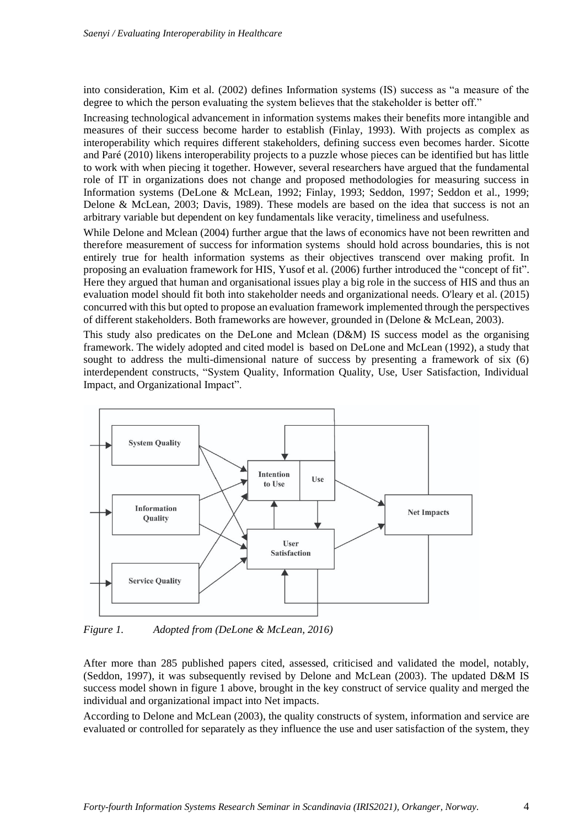into consideration, Kim et al. (2002) defines Information systems (IS) success as "a measure of the degree to which the person evaluating the system believes that the stakeholder is better off."

Increasing technological advancement in information systems makes their benefits more intangible and measures of their success become harder to establish (Finlay, 1993). With projects as complex as interoperability which requires different stakeholders, defining success even becomes harder. Sicotte and Paré (2010) likens interoperability projects to a puzzle whose pieces can be identified but has little to work with when piecing it together. However, several researchers have argued that the fundamental role of IT in organizations does not change and proposed methodologies for measuring success in Information systems (DeLone & McLean, 1992; Finlay, 1993; Seddon, 1997; Seddon et al., 1999; Delone & McLean, 2003; Davis, 1989). These models are based on the idea that success is not an arbitrary variable but dependent on key fundamentals like veracity, timeliness and usefulness.

While Delone and Mclean (2004) further argue that the laws of economics have not been rewritten and therefore measurement of success for information systems should hold across boundaries, this is not entirely true for health information systems as their objectives transcend over making profit. In proposing an evaluation framework for HIS, Yusof et al. (2006) further introduced the "concept of fit". Here they argued that human and organisational issues play a big role in the success of HIS and thus an evaluation model should fit both into stakeholder needs and organizational needs. O'leary et al. (2015) concurred with this but opted to propose an evaluation framework implemented through the perspectives of different stakeholders. Both frameworks are however, grounded in (Delone & McLean, 2003).

This study also predicates on the DeLone and Mclean (D&M) IS success model as the organising framework. The widely adopted and cited model is based on DeLone and McLean (1992), a study that sought to address the multi-dimensional nature of success by presenting a framework of six (6) interdependent constructs, "System Quality, Information Quality, Use, User Satisfaction, Individual Impact, and Organizational Impact".



*Figure 1. Adopted from (DeLone & McLean, 2016)*

After more than 285 published papers cited, assessed, criticised and validated the model, notably, (Seddon, 1997), it was subsequently revised by Delone and McLean (2003). The updated D&M IS success model shown in figure 1 above, brought in the key construct of service quality and merged the individual and organizational impact into Net impacts.

According to Delone and McLean (2003), the quality constructs of system, information and service are evaluated or controlled for separately as they influence the use and user satisfaction of the system, they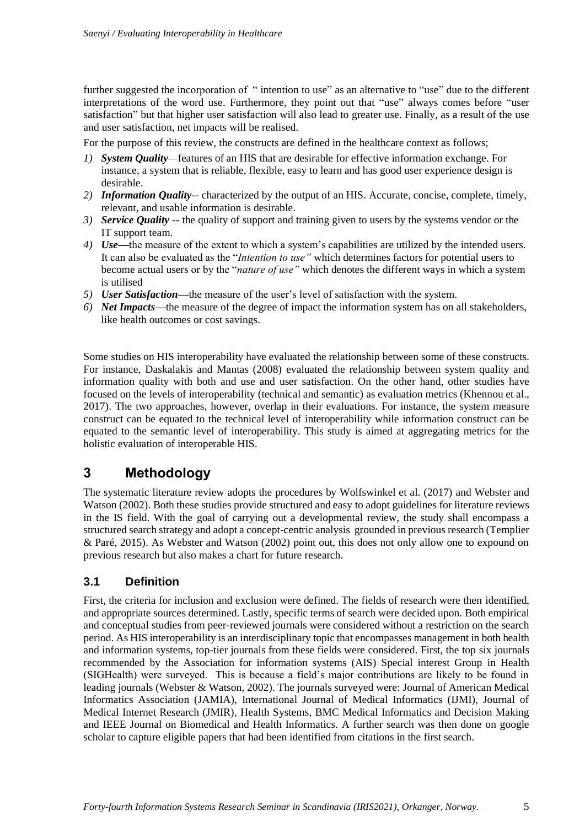further suggested the incorporation of " intention to use" as an alternative to "use" due to the different interpretations of the word use. Furthermore, they point out that "use" always comes before "user satisfaction" but that higher user satisfaction will also lead to greater use. Finally, as a result of the use and user satisfaction, net impacts will be realised.

For the purpose of this review, the constructs are defined in the healthcare context as follows;

- *1) System Quality—*features of an HIS that are desirable for effective information exchange. For instance, a system that is reliable, flexible, easy to learn and has good user experience design is desirable.
- *2) Information Quality--* characterized by the output of an HIS. Accurate, concise, complete, timely, relevant, and usable information is desirable.
- *3) Service Quality --* the quality of support and training given to users by the systems vendor or the IT support team.
- *4) Use—*the measure of the extent to which a system's capabilities are utilized by the intended users. It can also be evaluated as the "*Intention to use"* which determines factors for potential users to become actual users or by the "*nature of use"* which denotes the different ways in which a system is utilised
- *5) User Satisfaction—*the measure of the user's level of satisfaction with the system.
- *6) Net Impacts—*the measure of the degree of impact the information system has on all stakeholders, like health outcomes or cost savings.

Some studies on HIS interoperability have evaluated the relationship between some of these constructs. For instance, Daskalakis and Mantas (2008) evaluated the relationship between system quality and information quality with both and use and user satisfaction. On the other hand, other studies have focused on the levels of interoperability (technical and semantic) as evaluation metrics (Khennou et al., 2017). The two approaches, however, overlap in their evaluations. For instance, the system measure construct can be equated to the technical level of interoperability while information construct can be equated to the semantic level of interoperability. This study is aimed at aggregating metrics for the holistic evaluation of interoperable HIS.

### **3 Methodology**

The systematic literature review adopts the procedures by Wolfswinkel et al. (2017) and Webster and Watson (2002). Both these studies provide structured and easy to adopt guidelines for literature reviews in the IS field. With the goal of carrying out a developmental review, the study shall encompass a structured search strategy and adopt a concept-centric analysis grounded in previous research (Templier & Paré, 2015). As Webster and Watson (2002) point out, this does not only allow one to expound on previous research but also makes a chart for future research.

#### **3.1 Definition**

First, the criteria for inclusion and exclusion were defined. The fields of research were then identified, and appropriate sources determined. Lastly, specific terms of search were decided upon. Both empirical and conceptual studies from peer-reviewed journals were considered without a restriction on the search period. As HIS interoperability is an interdisciplinary topic that encompasses management in both health and information systems, top-tier journals from these fields were considered. First, the top six journals recommended by the Association for information systems (AIS) Special interest Group in Health (SIGHealth) were surveyed. This is because a field's major contributions are likely to be found in leading journals (Webster & Watson, 2002). The journals surveyed were: Journal of American Medical Informatics Association (JAMIA), International Journal of Medical Informatics (IJMI), Journal of Medical Internet Research (JMIR), Health Systems, BMC Medical Informatics and Decision Making and IEEE Journal on Biomedical and Health Informatics. A further search was then done on google scholar to capture eligible papers that had been identified from citations in the first search.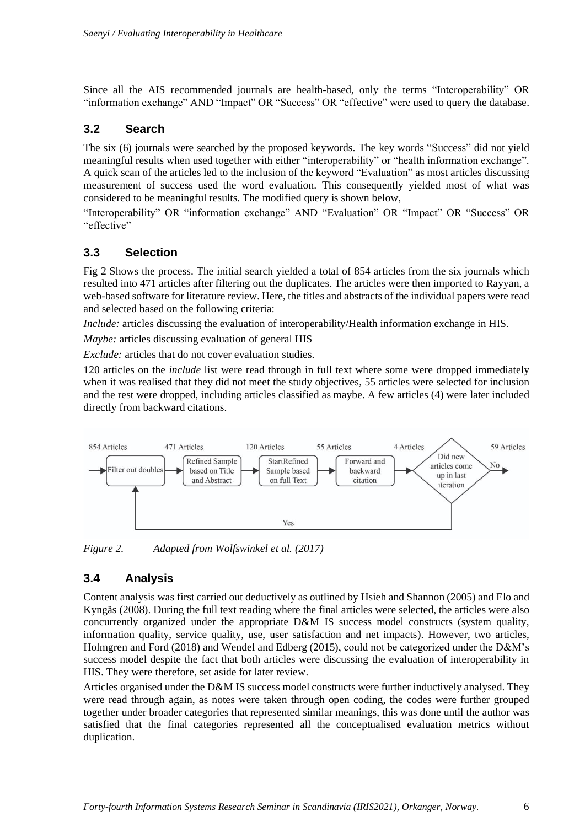Since all the AIS recommended journals are health-based, only the terms "Interoperability" OR "information exchange" AND "Impact" OR "Success" OR "effective" were used to query the database.

#### **3.2 Search**

The six (6) journals were searched by the proposed keywords. The key words "Success" did not yield meaningful results when used together with either "interoperability" or "health information exchange". A quick scan of the articles led to the inclusion of the keyword "Evaluation" as most articles discussing measurement of success used the word evaluation. This consequently yielded most of what was considered to be meaningful results. The modified query is shown below,

"Interoperability" OR "information exchange" AND "Evaluation" OR "Impact" OR "Success" OR "effective"

#### **3.3 Selection**

Fig 2 Shows the process. The initial search yielded a total of 854 articles from the six journals which resulted into 471 articles after filtering out the duplicates. The articles were then imported to Rayyan, a web-based software for literature review. Here, the titles and abstracts of the individual papers were read and selected based on the following criteria:

*Include:* articles discussing the evaluation of interoperability/Health information exchange in HIS.

*Maybe:* articles discussing evaluation of general HIS

*Exclude:* articles that do not cover evaluation studies.

120 articles on the *include* list were read through in full text where some were dropped immediately when it was realised that they did not meet the study objectives, 55 articles were selected for inclusion and the rest were dropped, including articles classified as maybe. A few articles (4) were later included directly from backward citations.



*Figure 2. Adapted from Wolfswinkel et al. (2017)*

#### **3.4 Analysis**

Content analysis was first carried out deductively as outlined by Hsieh and Shannon (2005) and Elo and Kyngäs (2008). During the full text reading where the final articles were selected, the articles were also concurrently organized under the appropriate D&M IS success model constructs (system quality, information quality, service quality, use, user satisfaction and net impacts). However, two articles, Holmgren and Ford (2018) and Wendel and Edberg (2015), could not be categorized under the D&M's success model despite the fact that both articles were discussing the evaluation of interoperability in HIS. They were therefore, set aside for later review.

Articles organised under the D&M IS success model constructs were further inductively analysed. They were read through again, as notes were taken through open coding, the codes were further grouped together under broader categories that represented similar meanings, this was done until the author was satisfied that the final categories represented all the conceptualised evaluation metrics without duplication.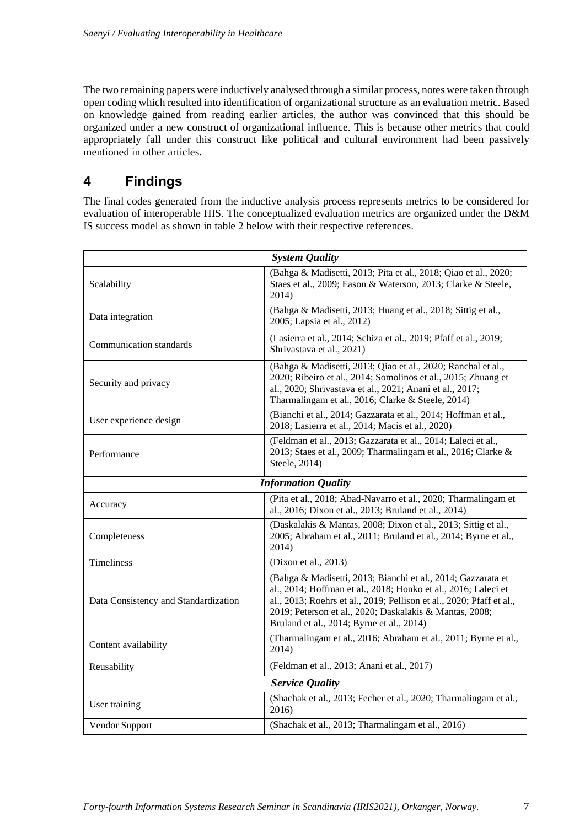The two remaining papers were inductively analysed through a similar process, notes were taken through open coding which resulted into identification of organizational structure as an evaluation metric. Based on knowledge gained from reading earlier articles, the author was convinced that this should be organized under a new construct of organizational influence. This is because other metrics that could appropriately fall under this construct like political and cultural environment had been passively mentioned in other articles.

## **4 Findings**

The final codes generated from the inductive analysis process represents metrics to be considered for evaluation of interoperable HIS. The conceptualized evaluation metrics are organized under the D&M IS success model as shown in table 2 below with their respective references.

| <b>System Quality</b>                |                                                                                                                                                                                                                                                                                                                |  |  |  |
|--------------------------------------|----------------------------------------------------------------------------------------------------------------------------------------------------------------------------------------------------------------------------------------------------------------------------------------------------------------|--|--|--|
| Scalability                          | (Bahga & Madisetti, 2013; Pita et al., 2018; Qiao et al., 2020;<br>Staes et al., 2009; Eason & Waterson, 2013; Clarke & Steele,<br>2014)                                                                                                                                                                       |  |  |  |
| Data integration                     | (Bahga & Madisetti, 2013; Huang et al., 2018; Sittig et al.,<br>2005; Lapsia et al., 2012)                                                                                                                                                                                                                     |  |  |  |
| Communication standards              | (Lasierra et al., 2014; Schiza et al., 2019; Pfaff et al., 2019;<br>Shrivastava et al., 2021)                                                                                                                                                                                                                  |  |  |  |
| Security and privacy                 | (Bahga & Madisetti, 2013; Qiao et al., 2020; Ranchal et al.,<br>2020; Ribeiro et al., 2014; Somolinos et al., 2015; Zhuang et<br>al., 2020; Shrivastava et al., 2021; Anani et al., 2017;<br>Tharmalingam et al., 2016; Clarke & Steele, 2014)                                                                 |  |  |  |
| User experience design               | (Bianchi et al., 2014; Gazzarata et al., 2014; Hoffman et al.,<br>2018; Lasierra et al., 2014; Macis et al., 2020)                                                                                                                                                                                             |  |  |  |
| Performance                          | (Feldman et al., 2013; Gazzarata et al., 2014; Laleci et al.,<br>2013; Staes et al., 2009; Tharmalingam et al., 2016; Clarke &<br>Steele, 2014)                                                                                                                                                                |  |  |  |
| <b>Information Quality</b>           |                                                                                                                                                                                                                                                                                                                |  |  |  |
| Accuracy                             | (Pita et al., 2018; Abad-Navarro et al., 2020; Tharmalingam et<br>al., 2016; Dixon et al., 2013; Bruland et al., 2014)                                                                                                                                                                                         |  |  |  |
| Completeness                         | (Daskalakis & Mantas, 2008; Dixon et al., 2013; Sittig et al.,<br>2005; Abraham et al., 2011; Bruland et al., 2014; Byrne et al.,<br>2014)                                                                                                                                                                     |  |  |  |
| <b>Timeliness</b>                    | (Dixon et al., 2013)                                                                                                                                                                                                                                                                                           |  |  |  |
| Data Consistency and Standardization | (Bahga & Madisetti, 2013; Bianchi et al., 2014; Gazzarata et<br>al., 2014; Hoffman et al., 2018; Honko et al., 2016; Laleci et<br>al., 2013; Roehrs et al., 2019; Pellison et al., 2020; Pfaff et al.,<br>2019; Peterson et al., 2020; Daskalakis & Mantas, 2008;<br>Bruland et al., 2014; Byrne et al., 2014) |  |  |  |
| Content availability                 | (Tharmalingam et al., 2016; Abraham et al., 2011; Byrne et al.,<br>2014)                                                                                                                                                                                                                                       |  |  |  |
| Reusability                          | (Feldman et al., 2013; Anani et al., 2017)                                                                                                                                                                                                                                                                     |  |  |  |
| <b>Service Quality</b>               |                                                                                                                                                                                                                                                                                                                |  |  |  |
| User training                        | (Shachak et al., 2013; Fecher et al., 2020; Tharmalingam et al.,<br>2016)                                                                                                                                                                                                                                      |  |  |  |
| Vendor Support                       | (Shachak et al., 2013; Tharmalingam et al., 2016)                                                                                                                                                                                                                                                              |  |  |  |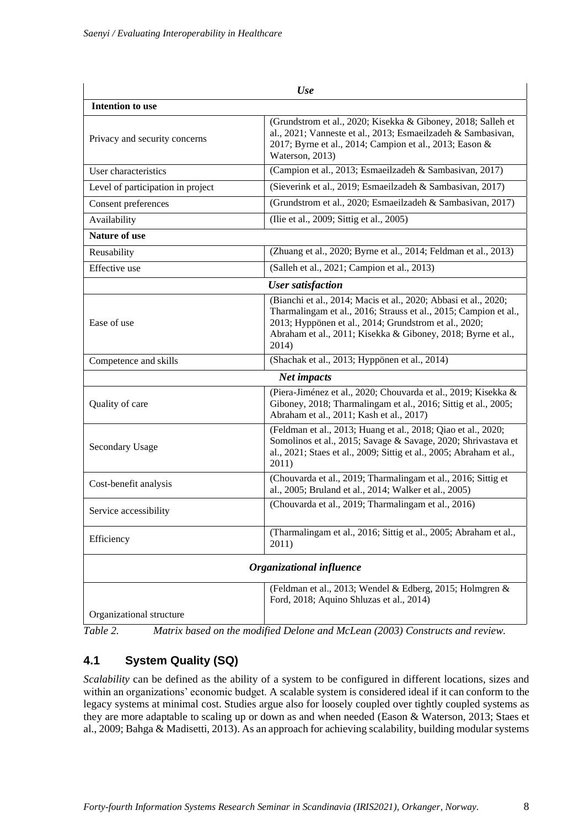| Use                               |                                                                                                                                                                                                                                                                       |  |  |  |
|-----------------------------------|-----------------------------------------------------------------------------------------------------------------------------------------------------------------------------------------------------------------------------------------------------------------------|--|--|--|
| <b>Intention to use</b>           |                                                                                                                                                                                                                                                                       |  |  |  |
| Privacy and security concerns     | (Grundstrom et al., 2020; Kisekka & Giboney, 2018; Salleh et<br>al., 2021; Vanneste et al., 2013; Esmaeilzadeh & Sambasivan,<br>2017; Byrne et al., 2014; Campion et al., 2013; Eason &<br>Waterson, 2013)                                                            |  |  |  |
| User characteristics              | (Campion et al., 2013; Esmaeilzadeh & Sambasivan, 2017)                                                                                                                                                                                                               |  |  |  |
| Level of participation in project | (Sieverink et al., 2019; Esmaeilzadeh & Sambasivan, 2017)                                                                                                                                                                                                             |  |  |  |
| Consent preferences               | (Grundstrom et al., 2020; Esmaeilzadeh & Sambasivan, 2017)                                                                                                                                                                                                            |  |  |  |
| Availability                      | (Ilie et al., 2009; Sittig et al., 2005)                                                                                                                                                                                                                              |  |  |  |
| <b>Nature of use</b>              |                                                                                                                                                                                                                                                                       |  |  |  |
| Reusability                       | (Zhuang et al., 2020; Byrne et al., 2014; Feldman et al., 2013)                                                                                                                                                                                                       |  |  |  |
| Effective use                     | (Salleh et al., 2021; Campion et al., 2013)                                                                                                                                                                                                                           |  |  |  |
|                                   | <b>User satisfaction</b>                                                                                                                                                                                                                                              |  |  |  |
| Ease of use                       | (Bianchi et al., 2014; Macis et al., 2020; Abbasi et al., 2020;<br>Tharmalingam et al., 2016; Strauss et al., 2015; Campion et al.,<br>2013; Hyppönen et al., 2014; Grundstrom et al., 2020;<br>Abraham et al., 2011; Kisekka & Giboney, 2018; Byrne et al.,<br>2014) |  |  |  |
| Competence and skills             | (Shachak et al., 2013; Hyppönen et al., 2014)                                                                                                                                                                                                                         |  |  |  |
|                                   | <b>Net impacts</b>                                                                                                                                                                                                                                                    |  |  |  |
| Quality of care                   | (Piera-Jiménez et al., 2020; Chouvarda et al., 2019; Kisekka &<br>Giboney, 2018; Tharmalingam et al., 2016; Sittig et al., 2005;<br>Abraham et al., 2011; Kash et al., 2017)                                                                                          |  |  |  |
| <b>Secondary Usage</b>            | (Feldman et al., 2013; Huang et al., 2018; Qiao et al., 2020;<br>Somolinos et al., 2015; Savage & Savage, 2020; Shrivastava et<br>al., 2021; Staes et al., 2009; Sittig et al., 2005; Abraham et al.,<br>2011)                                                        |  |  |  |
| Cost-benefit analysis             | (Chouvarda et al., 2019; Tharmalingam et al., 2016; Sittig et<br>al., 2005; Bruland et al., 2014; Walker et al., 2005)                                                                                                                                                |  |  |  |
| Service accessibility             | (Chouvarda et al., 2019; Tharmalingam et al., 2016)                                                                                                                                                                                                                   |  |  |  |
| Efficiency                        | (Tharmalingam et al., 2016; Sittig et al., 2005; Abraham et al.,<br>2011)                                                                                                                                                                                             |  |  |  |
|                                   | Organizational influence                                                                                                                                                                                                                                              |  |  |  |
| Organizational structure          | (Feldman et al., 2013; Wendel & Edberg, 2015; Holmgren &<br>Ford, 2018; Aquino Shluzas et al., 2014)                                                                                                                                                                  |  |  |  |

*Table 2. Matrix based on the modified Delone and McLean (2003) Constructs and review.*

### **4.1 System Quality (SQ)**

*Scalability* can be defined as the ability of a system to be configured in different locations, sizes and within an organizations' economic budget. A scalable system is considered ideal if it can conform to the legacy systems at minimal cost. Studies argue also for loosely coupled over tightly coupled systems as they are more adaptable to scaling up or down as and when needed (Eason & Waterson, 2013; Staes et al., 2009; Bahga & Madisetti, 2013). As an approach for achieving scalability, building modular systems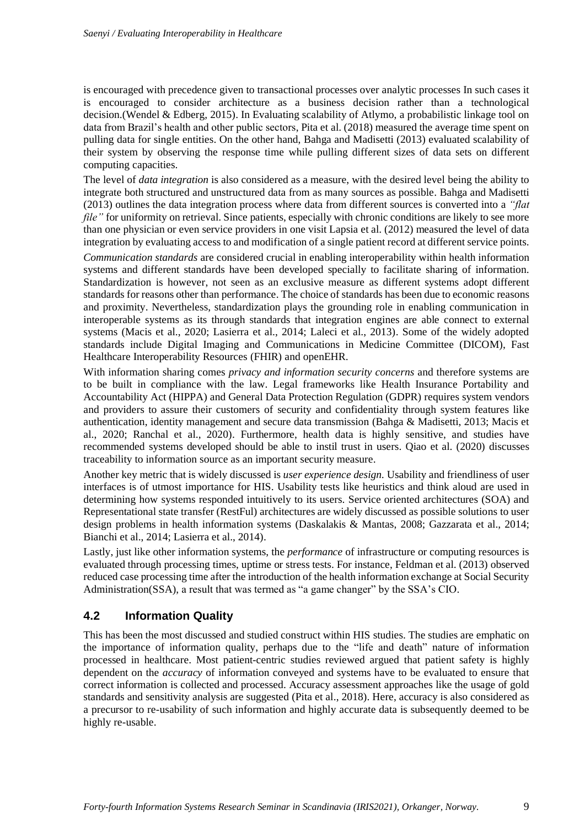is encouraged with precedence given to transactional processes over analytic processes In such cases it is encouraged to consider architecture as a business decision rather than a technological decision.(Wendel & Edberg, 2015). In Evaluating scalability of Atlymo, a probabilistic linkage tool on data from Brazil's health and other public sectors, Pita et al. (2018) measured the average time spent on pulling data for single entities. On the other hand, Bahga and Madisetti (2013) evaluated scalability of their system by observing the response time while pulling different sizes of data sets on different computing capacities.

The level of *data integration* is also considered as a measure, with the desired level being the ability to integrate both structured and unstructured data from as many sources as possible. Bahga and Madisetti (2013) outlines the data integration process where data from different sources is converted into a *"flat file*" for uniformity on retrieval. Since patients, especially with chronic conditions are likely to see more than one physician or even service providers in one visit Lapsia et al. (2012) measured the level of data integration by evaluating access to and modification of a single patient record at different service points.

*Communication standards* are considered crucial in enabling interoperability within health information systems and different standards have been developed specially to facilitate sharing of information. Standardization is however, not seen as an exclusive measure as different systems adopt different standards for reasons other than performance. The choice of standards has been due to economic reasons and proximity. Nevertheless, standardization plays the grounding role in enabling communication in interoperable systems as its through standards that integration engines are able connect to external systems (Macis et al., 2020; Lasierra et al., 2014; Laleci et al., 2013). Some of the widely adopted standards include Digital Imaging and Communications in Medicine Committee (DICOM), Fast Healthcare Interoperability Resources (FHIR) and openEHR.

With information sharing comes *privacy and information security concerns* and therefore systems are to be built in compliance with the law. Legal frameworks like Health Insurance Portability and Accountability Act (HIPPA) and General Data Protection Regulation (GDPR) requires system vendors and providers to assure their customers of security and confidentiality through system features like authentication, identity management and secure data transmission (Bahga & Madisetti, 2013; Macis et al., 2020; Ranchal et al., 2020). Furthermore, health data is highly sensitive, and studies have recommended systems developed should be able to instil trust in users. Qiao et al. (2020) discusses traceability to information source as an important security measure.

Another key metric that is widely discussed is *user experience design.* Usability and friendliness of user interfaces is of utmost importance for HIS. Usability tests like heuristics and think aloud are used in determining how systems responded intuitively to its users. Service oriented architectures (SOA) and Representational state transfer (RestFul) architectures are widely discussed as possible solutions to user design problems in health information systems (Daskalakis & Mantas, 2008; Gazzarata et al., 2014; Bianchi et al., 2014; Lasierra et al., 2014).

Lastly, just like other information systems, the *performance* of infrastructure or computing resources is evaluated through processing times, uptime or stress tests. For instance, Feldman et al. (2013) observed reduced case processing time after the introduction of the health information exchange at Social Security Administration(SSA), a result that was termed as "a game changer" by the SSA's CIO.

#### **4.2 Information Quality**

This has been the most discussed and studied construct within HIS studies. The studies are emphatic on the importance of information quality, perhaps due to the "life and death" nature of information processed in healthcare. Most patient-centric studies reviewed argued that patient safety is highly dependent on the *accuracy* of information conveyed and systems have to be evaluated to ensure that correct information is collected and processed. Accuracy assessment approaches like the usage of gold standards and sensitivity analysis are suggested (Pita et al., 2018). Here, accuracy is also considered as a precursor to re-usability of such information and highly accurate data is subsequently deemed to be highly re-usable.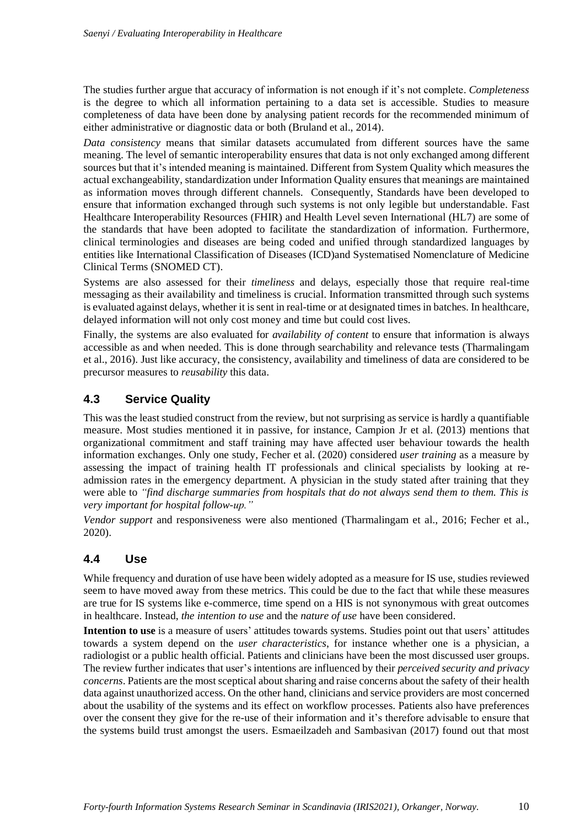The studies further argue that accuracy of information is not enough if it's not complete. *Completeness* is the degree to which all information pertaining to a data set is accessible. Studies to measure completeness of data have been done by analysing patient records for the recommended minimum of either administrative or diagnostic data or both (Bruland et al., 2014).

*Data consistency* means that similar datasets accumulated from different sources have the same meaning. The level of semantic interoperability ensures that data is not only exchanged among different sources but that it's intended meaning is maintained. Different from System Quality which measures the actual exchangeability, standardization under Information Quality ensures that meanings are maintained as information moves through different channels. Consequently, Standards have been developed to ensure that information exchanged through such systems is not only legible but understandable. Fast Healthcare Interoperability Resources (FHIR) and Health Level seven International (HL7) are some of the standards that have been adopted to facilitate the standardization of information. Furthermore, clinical terminologies and diseases are being coded and unified through standardized languages by entities like International Classification of Diseases (ICD)and Systematised Nomenclature of Medicine Clinical Terms (SNOMED CT).

Systems are also assessed for their *timeliness* and delays, especially those that require real-time messaging as their availability and timeliness is crucial. Information transmitted through such systems is evaluated against delays, whether it is sent in real-time or at designated times in batches. In healthcare, delayed information will not only cost money and time but could cost lives.

Finally, the systems are also evaluated for *availability of content* to ensure that information is always accessible as and when needed. This is done through searchability and relevance tests (Tharmalingam et al., 2016). Just like accuracy, the consistency, availability and timeliness of data are considered to be precursor measures to *reusability* this data.

#### **4.3 Service Quality**

This was the least studied construct from the review, but not surprising as service is hardly a quantifiable measure. Most studies mentioned it in passive, for instance, Campion Jr et al. (2013) mentions that organizational commitment and staff training may have affected user behaviour towards the health information exchanges. Only one study, Fecher et al. (2020) considered *user training* as a measure by assessing the impact of training health IT professionals and clinical specialists by looking at readmission rates in the emergency department. A physician in the study stated after training that they were able to *"find discharge summaries from hospitals that do not always send them to them. This is very important for hospital follow-up."*

*Vendor support* and responsiveness were also mentioned (Tharmalingam et al., 2016; Fecher et al., 2020).

#### **4.4 Use**

While frequency and duration of use have been widely adopted as a measure for IS use, studies reviewed seem to have moved away from these metrics. This could be due to the fact that while these measures are true for IS systems like e-commerce, time spend on a HIS is not synonymous with great outcomes in healthcare. Instead, *the intention to use* and the *nature of use* have been considered.

**Intention to use** is a measure of users' attitudes towards systems. Studies point out that users' attitudes towards a system depend on the *user characteristics*, for instance whether one is a physician, a radiologist or a public health official. Patients and clinicians have been the most discussed user groups. The review further indicates that user's intentions are influenced by their *perceived security and privacy concerns*. Patients are the most sceptical about sharing and raise concerns about the safety of their health data against unauthorized access. On the other hand, clinicians and service providers are most concerned about the usability of the systems and its effect on workflow processes. Patients also have preferences over the consent they give for the re-use of their information and it's therefore advisable to ensure that the systems build trust amongst the users. Esmaeilzadeh and Sambasivan (2017) found out that most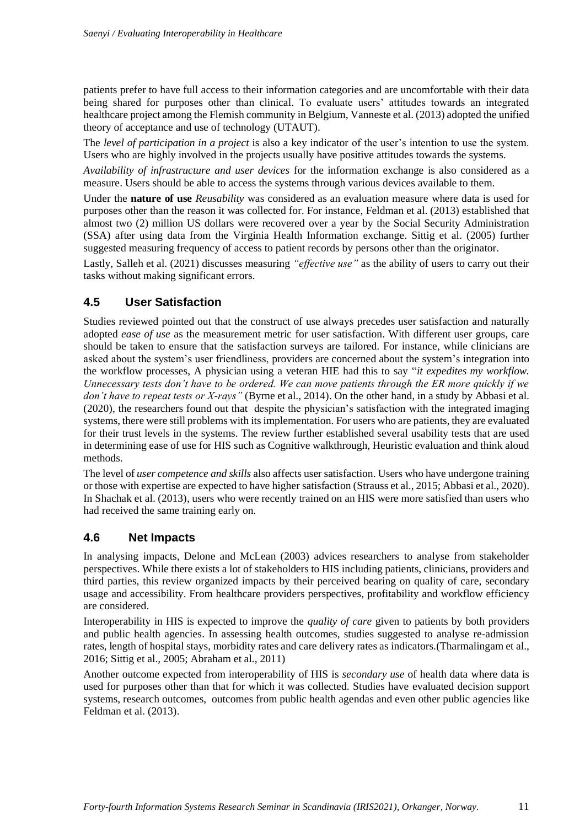patients prefer to have full access to their information categories and are uncomfortable with their data being shared for purposes other than clinical. To evaluate users' attitudes towards an integrated healthcare project among the Flemish community in Belgium, Vanneste et al. (2013) adopted the unified theory of acceptance and use of technology (UTAUT).

The *level of participation in a project* is also a key indicator of the user's intention to use the system. Users who are highly involved in the projects usually have positive attitudes towards the systems.

*Availability of infrastructure and user devices* for the information exchange is also considered as a measure. Users should be able to access the systems through various devices available to them.

Under the **nature of use** *Reusability* was considered as an evaluation measure where data is used for purposes other than the reason it was collected for. For instance, Feldman et al. (2013) established that almost two (2) million US dollars were recovered over a year by the Social Security Administration (SSA) after using data from the Virginia Health Information exchange. Sittig et al. (2005) further suggested measuring frequency of access to patient records by persons other than the originator.

Lastly, Salleh et al. (2021) discusses measuring *"effective use"* as the ability of users to carry out their tasks without making significant errors.

#### **4.5 User Satisfaction**

Studies reviewed pointed out that the construct of use always precedes user satisfaction and naturally adopted *ease of use* as the measurement metric for user satisfaction. With different user groups, care should be taken to ensure that the satisfaction surveys are tailored. For instance, while clinicians are asked about the system's user friendliness, providers are concerned about the system's integration into the workflow processes, A physician using a veteran HIE had this to say "*it expedites my workflow. Unnecessary tests don't have to be ordered. We can move patients through the ER more quickly if we don't have to repeat tests or X-rays"* (Byrne et al., 2014). On the other hand, in a study by Abbasi et al. (2020), the researchers found out that despite the physician's satisfaction with the integrated imaging systems, there were still problems with its implementation. For users who are patients, they are evaluated for their trust levels in the systems. The review further established several usability tests that are used in determining ease of use for HIS such as Cognitive walkthrough, Heuristic evaluation and think aloud methods.

The level of *user competence and skills* also affects user satisfaction. Users who have undergone training or those with expertise are expected to have higher satisfaction (Strauss et al., 2015; Abbasi et al., 2020). In Shachak et al. (2013), users who were recently trained on an HIS were more satisfied than users who had received the same training early on.

#### **4.6 Net Impacts**

In analysing impacts, Delone and McLean (2003) advices researchers to analyse from stakeholder perspectives. While there exists a lot of stakeholders to HIS including patients, clinicians, providers and third parties, this review organized impacts by their perceived bearing on quality of care, secondary usage and accessibility. From healthcare providers perspectives, profitability and workflow efficiency are considered.

Interoperability in HIS is expected to improve the *quality of care* given to patients by both providers and public health agencies. In assessing health outcomes, studies suggested to analyse re-admission rates, length of hospital stays, morbidity rates and care delivery rates as indicators.(Tharmalingam et al., 2016; Sittig et al., 2005; Abraham et al., 2011)

Another outcome expected from interoperability of HIS is *secondary use* of health data where data is used for purposes other than that for which it was collected. Studies have evaluated decision support systems, research outcomes, outcomes from public health agendas and even other public agencies like Feldman et al. (2013).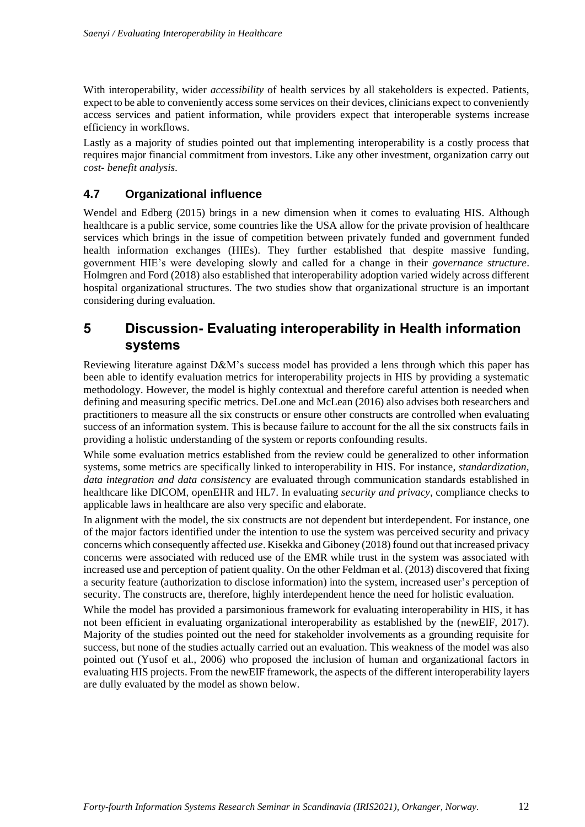With interoperability, wider *accessibility* of health services by all stakeholders is expected. Patients, expect to be able to conveniently access some services on their devices, clinicians expect to conveniently access services and patient information, while providers expect that interoperable systems increase efficiency in workflows.

Lastly as a majority of studies pointed out that implementing interoperability is a costly process that requires major financial commitment from investors. Like any other investment, organization carry out *cost- benefit analysis*.

#### **4.7 Organizational influence**

Wendel and Edberg (2015) brings in a new dimension when it comes to evaluating HIS. Although healthcare is a public service, some countries like the USA allow for the private provision of healthcare services which brings in the issue of competition between privately funded and government funded health information exchanges (HIEs). They further established that despite massive funding, government HIE's were developing slowly and called for a change in their *governance structure*. Holmgren and Ford (2018) also established that interoperability adoption varied widely across different hospital organizational structures. The two studies show that organizational structure is an important considering during evaluation.

### **5 Discussion- Evaluating interoperability in Health information systems**

Reviewing literature against D&M's success model has provided a lens through which this paper has been able to identify evaluation metrics for interoperability projects in HIS by providing a systematic methodology. However, the model is highly contextual and therefore careful attention is needed when defining and measuring specific metrics. DeLone and McLean (2016) also advises both researchers and practitioners to measure all the six constructs or ensure other constructs are controlled when evaluating success of an information system. This is because failure to account for the all the six constructs fails in providing a holistic understanding of the system or reports confounding results.

While some evaluation metrics established from the review could be generalized to other information systems, some metrics are specifically linked to interoperability in HIS. For instance, *standardization, data integration and data consistenc*y are evaluated through communication standards established in healthcare like DICOM, openEHR and HL7. In evaluating *security and privacy,* compliance checks to applicable laws in healthcare are also very specific and elaborate.

In alignment with the model, the six constructs are not dependent but interdependent. For instance, one of the major factors identified under the intention to use the system was perceived security and privacy concerns which consequently affected *use*. Kisekka and Giboney (2018) found out that increased privacy concerns were associated with reduced use of the EMR while trust in the system was associated with increased use and perception of patient quality. On the other Feldman et al. (2013) discovered that fixing a security feature (authorization to disclose information) into the system, increased user's perception of security. The constructs are, therefore, highly interdependent hence the need for holistic evaluation.

While the model has provided a parsimonious framework for evaluating interoperability in HIS, it has not been efficient in evaluating organizational interoperability as established by the (newEIF, 2017). Majority of the studies pointed out the need for stakeholder involvements as a grounding requisite for success, but none of the studies actually carried out an evaluation. This weakness of the model was also pointed out (Yusof et al., 2006) who proposed the inclusion of human and organizational factors in evaluating HIS projects. From the newEIF framework, the aspects of the different interoperability layers are dully evaluated by the model as shown below.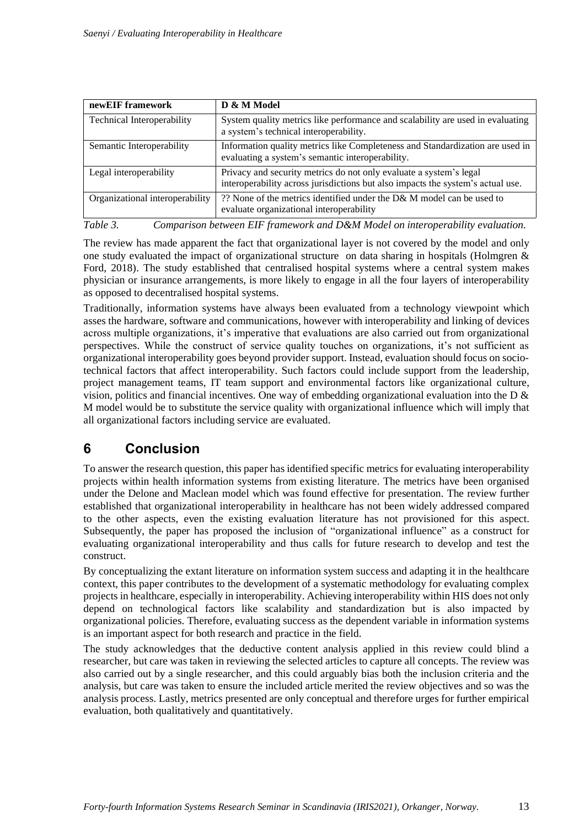| newEIF framework                  | D & M Model                                                                                                                                           |
|-----------------------------------|-------------------------------------------------------------------------------------------------------------------------------------------------------|
| <b>Technical Interoperability</b> | System quality metrics like performance and scalability are used in evaluating<br>a system's technical interoperability.                              |
| Semantic Interoperability         | Information quality metrics like Completeness and Standardization are used in<br>evaluating a system's semantic interoperability.                     |
| Legal interoperability            | Privacy and security metrics do not only evaluate a system's legal<br>interoperability across jurisdictions but also impacts the system's actual use. |
| Organizational interoperability   | ?? None of the metrics identified under the D& M model can be used to<br>evaluate organizational interoperability                                     |

*Table 3. Comparison between EIF framework and D&M Model on interoperability evaluation.*

The review has made apparent the fact that organizational layer is not covered by the model and only one study evaluated the impact of organizational structure on data sharing in hospitals (Holmgren & Ford, 2018). The study established that centralised hospital systems where a central system makes physician or insurance arrangements, is more likely to engage in all the four layers of interoperability as opposed to decentralised hospital systems.

Traditionally, information systems have always been evaluated from a technology viewpoint which asses the hardware, software and communications, however with interoperability and linking of devices across multiple organizations, it's imperative that evaluations are also carried out from organizational perspectives. While the construct of service quality touches on organizations, it's not sufficient as organizational interoperability goes beyond provider support. Instead, evaluation should focus on sociotechnical factors that affect interoperability. Such factors could include support from the leadership, project management teams, IT team support and environmental factors like organizational culture, vision, politics and financial incentives. One way of embedding organizational evaluation into the D & M model would be to substitute the service quality with organizational influence which will imply that all organizational factors including service are evaluated.

## **6 Conclusion**

To answer the research question, this paper has identified specific metrics for evaluating interoperability projects within health information systems from existing literature. The metrics have been organised under the Delone and Maclean model which was found effective for presentation. The review further established that organizational interoperability in healthcare has not been widely addressed compared to the other aspects, even the existing evaluation literature has not provisioned for this aspect. Subsequently, the paper has proposed the inclusion of "organizational influence" as a construct for evaluating organizational interoperability and thus calls for future research to develop and test the construct.

By conceptualizing the extant literature on information system success and adapting it in the healthcare context, this paper contributes to the development of a systematic methodology for evaluating complex projects in healthcare, especially in interoperability. Achieving interoperability within HIS does not only depend on technological factors like scalability and standardization but is also impacted by organizational policies. Therefore, evaluating success as the dependent variable in information systems is an important aspect for both research and practice in the field.

The study acknowledges that the deductive content analysis applied in this review could blind a researcher, but care was taken in reviewing the selected articles to capture all concepts. The review was also carried out by a single researcher, and this could arguably bias both the inclusion criteria and the analysis, but care was taken to ensure the included article merited the review objectives and so was the analysis process. Lastly, metrics presented are only conceptual and therefore urges for further empirical evaluation, both qualitatively and quantitatively.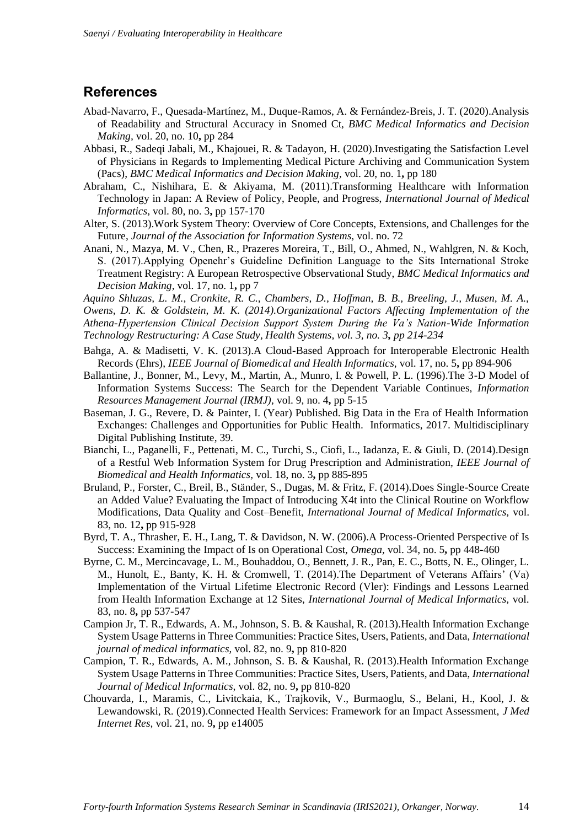#### **References**

- Abad-Navarro, F., Quesada-Martínez, M., Duque-Ramos, A. & Fernández-Breis, J. T. (2020).Analysis of Readability and Structural Accuracy in Snomed Ct, *BMC Medical Informatics and Decision Making,* vol. 20, no. 10**,** pp 284
- Abbasi, R., Sadeqi Jabali, M., Khajouei, R. & Tadayon, H. (2020).Investigating the Satisfaction Level of Physicians in Regards to Implementing Medical Picture Archiving and Communication System (Pacs), *BMC Medical Informatics and Decision Making,* vol. 20, no. 1**,** pp 180
- Abraham, C., Nishihara, E. & Akiyama, M. (2011).Transforming Healthcare with Information Technology in Japan: A Review of Policy, People, and Progress, *International Journal of Medical Informatics,* vol. 80, no. 3**,** pp 157-170
- Alter, S. (2013).Work System Theory: Overview of Core Concepts, Extensions, and Challenges for the Future, *Journal of the Association for Information Systems,* vol. no. 72
- Anani, N., Mazya, M. V., Chen, R., Prazeres Moreira, T., Bill, O., Ahmed, N., Wahlgren, N. & Koch, S. (2017).Applying Openehr's Guideline Definition Language to the Sits International Stroke Treatment Registry: A European Retrospective Observational Study, *BMC Medical Informatics and Decision Making,* vol. 17, no. 1**,** pp 7

*Aquino Shluzas, L. M., Cronkite, R. C., Chambers, D., Hoffman, B. B., Breeling, J., Musen, M. A., Owens, D. K. & Goldstein, M. K. (2014).Organizational Factors Affecting Implementation of the Athena-Hypertension Clinical Decision Support System During the Va's Nation-Wide Information Technology Restructuring: A Case Study, Health Systems, vol. 3, no. 3, pp 214-234*

- Bahga, A. & Madisetti, V. K. (2013).A Cloud-Based Approach for Interoperable Electronic Health Records (Ehrs), *IEEE Journal of Biomedical and Health Informatics,* vol. 17, no. 5**,** pp 894-906
- Ballantine, J., Bonner, M., Levy, M., Martin, A., Munro, I. & Powell, P. L. (1996).The 3-D Model of Information Systems Success: The Search for the Dependent Variable Continues, *Information Resources Management Journal (IRMJ),* vol. 9, no. 4**,** pp 5-15
- Baseman, J. G., Revere, D. & Painter, I. (Year) Published. Big Data in the Era of Health Information Exchanges: Challenges and Opportunities for Public Health. Informatics, 2017. Multidisciplinary Digital Publishing Institute, 39.
- Bianchi, L., Paganelli, F., Pettenati, M. C., Turchi, S., Ciofi, L., Iadanza, E. & Giuli, D. (2014).Design of a Restful Web Information System for Drug Prescription and Administration, *IEEE Journal of Biomedical and Health Informatics,* vol. 18, no. 3**,** pp 885-895
- Bruland, P., Forster, C., Breil, B., Ständer, S., Dugas, M. & Fritz, F. (2014).Does Single-Source Create an Added Value? Evaluating the Impact of Introducing X4t into the Clinical Routine on Workflow Modifications, Data Quality and Cost–Benefit, *International Journal of Medical Informatics,* vol. 83, no. 12**,** pp 915-928
- Byrd, T. A., Thrasher, E. H., Lang, T. & Davidson, N. W. (2006).A Process-Oriented Perspective of Is Success: Examining the Impact of Is on Operational Cost, *Omega,* vol. 34, no. 5**,** pp 448-460
- Byrne, C. M., Mercincavage, L. M., Bouhaddou, O., Bennett, J. R., Pan, E. C., Botts, N. E., Olinger, L. M., Hunolt, E., Banty, K. H. & Cromwell, T. (2014).The Department of Veterans Affairs' (Va) Implementation of the Virtual Lifetime Electronic Record (Vler): Findings and Lessons Learned from Health Information Exchange at 12 Sites, *International Journal of Medical Informatics,* vol. 83, no. 8**,** pp 537-547
- Campion Jr, T. R., Edwards, A. M., Johnson, S. B. & Kaushal, R. (2013).Health Information Exchange System Usage Patterns in Three Communities: Practice Sites, Users, Patients, and Data, *International journal of medical informatics,* vol. 82, no. 9**,** pp 810-820
- Campion, T. R., Edwards, A. M., Johnson, S. B. & Kaushal, R. (2013).Health Information Exchange System Usage Patterns in Three Communities: Practice Sites, Users, Patients, and Data, *International Journal of Medical Informatics,* vol. 82, no. 9**,** pp 810-820
- Chouvarda, I., Maramis, C., Livitckaia, K., Trajkovik, V., Burmaoglu, S., Belani, H., Kool, J. & Lewandowski, R. (2019).Connected Health Services: Framework for an Impact Assessment, *J Med Internet Res,* vol. 21, no. 9**,** pp e14005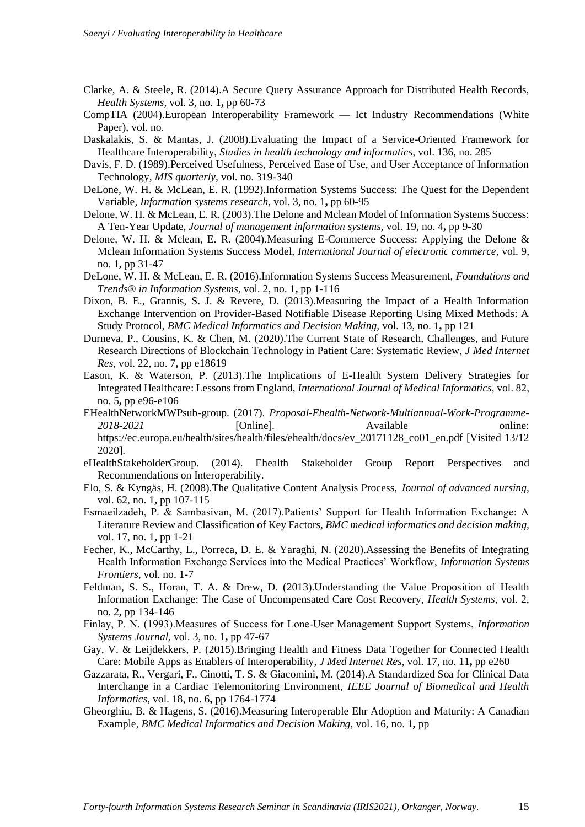- Clarke, A. & Steele, R. (2014).A Secure Query Assurance Approach for Distributed Health Records, *Health Systems,* vol. 3, no. 1**,** pp 60-73
- CompTIA (2004).European Interoperability Framework Ict Industry Recommendations (White Paper), vol. no.
- Daskalakis, S. & Mantas, J. (2008).Evaluating the Impact of a Service-Oriented Framework for Healthcare Interoperability, *Studies in health technology and informatics,* vol. 136, no. 285
- Davis, F. D. (1989).Perceived Usefulness, Perceived Ease of Use, and User Acceptance of Information Technology, *MIS quarterly,* vol. no. 319-340
- DeLone, W. H. & McLean, E. R. (1992).Information Systems Success: The Quest for the Dependent Variable, *Information systems research,* vol. 3, no. 1**,** pp 60-95
- Delone, W. H. & McLean, E. R. (2003).The Delone and Mclean Model of Information Systems Success: A Ten-Year Update, *Journal of management information systems,* vol. 19, no. 4**,** pp 9-30
- Delone, W. H. & Mclean, E. R. (2004).Measuring E-Commerce Success: Applying the Delone & Mclean Information Systems Success Model, *International Journal of electronic commerce,* vol. 9, no. 1**,** pp 31-47
- DeLone, W. H. & McLean, E. R. (2016).Information Systems Success Measurement, *Foundations and Trends® in Information Systems,* vol. 2, no. 1**,** pp 1-116
- Dixon, B. E., Grannis, S. J. & Revere, D. (2013).Measuring the Impact of a Health Information Exchange Intervention on Provider-Based Notifiable Disease Reporting Using Mixed Methods: A Study Protocol, *BMC Medical Informatics and Decision Making,* vol. 13, no. 1**,** pp 121
- Durneva, P., Cousins, K. & Chen, M. (2020).The Current State of Research, Challenges, and Future Research Directions of Blockchain Technology in Patient Care: Systematic Review, *J Med Internet Res,* vol. 22, no. 7**,** pp e18619
- Eason, K. & Waterson, P. (2013).The Implications of E-Health System Delivery Strategies for Integrated Healthcare: Lessons from England, *International Journal of Medical Informatics,* vol. 82, no. 5**,** pp e96-e106
- EHealthNetworkMWPsub-group. (2017). *Proposal-Ehealth-Network-Multiannual-Work-Programme-2018-2021* [Online]. Available online: https://ec.europa.eu/health/sites/health/files/ehealth/docs/ev\_20171128\_co01\_en.pdf [Visited 13/12 2020].
- eHealthStakeholderGroup. (2014). Ehealth Stakeholder Group Report Perspectives and Recommendations on Interoperability.
- Elo, S. & Kyngäs, H. (2008).The Qualitative Content Analysis Process, *Journal of advanced nursing,* vol. 62, no. 1**,** pp 107-115
- Esmaeilzadeh, P. & Sambasivan, M. (2017).Patients' Support for Health Information Exchange: A Literature Review and Classification of Key Factors, *BMC medical informatics and decision making,* vol. 17, no. 1**,** pp 1-21
- Fecher, K., McCarthy, L., Porreca, D. E. & Yaraghi, N. (2020).Assessing the Benefits of Integrating Health Information Exchange Services into the Medical Practices' Workflow, *Information Systems Frontiers,* vol. no. 1-7
- Feldman, S. S., Horan, T. A. & Drew, D. (2013).Understanding the Value Proposition of Health Information Exchange: The Case of Uncompensated Care Cost Recovery, *Health Systems,* vol. 2, no. 2**,** pp 134-146
- Finlay, P. N. (1993).Measures of Success for Lone‐User Management Support Systems, *Information Systems Journal,* vol. 3, no. 1**,** pp 47-67
- Gay, V. & Leijdekkers, P. (2015).Bringing Health and Fitness Data Together for Connected Health Care: Mobile Apps as Enablers of Interoperability, *J Med Internet Res,* vol. 17, no. 11**,** pp e260
- Gazzarata, R., Vergari, F., Cinotti, T. S. & Giacomini, M. (2014).A Standardized Soa for Clinical Data Interchange in a Cardiac Telemonitoring Environment, *IEEE Journal of Biomedical and Health Informatics,* vol. 18, no. 6**,** pp 1764-1774
- Gheorghiu, B. & Hagens, S. (2016).Measuring Interoperable Ehr Adoption and Maturity: A Canadian Example, *BMC Medical Informatics and Decision Making,* vol. 16, no. 1**,** pp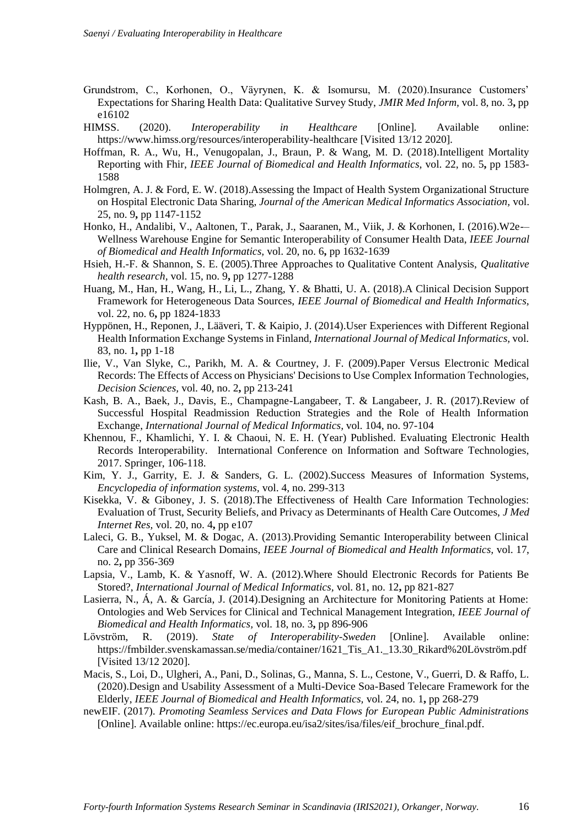- Grundstrom, C., Korhonen, O., Väyrynen, K. & Isomursu, M. (2020).Insurance Customers' Expectations for Sharing Health Data: Qualitative Survey Study, *JMIR Med Inform,* vol. 8, no. 3**,** pp e16102
- HIMSS. (2020). *Interoperability in Healthcare* [Online]. Available online: https://www.himss.org/resources/interoperability-healthcare [Visited 13/12 2020].
- Hoffman, R. A., Wu, H., Venugopalan, J., Braun, P. & Wang, M. D. (2018).Intelligent Mortality Reporting with Fhir, *IEEE Journal of Biomedical and Health Informatics,* vol. 22, no. 5**,** pp 1583- 1588
- Holmgren, A. J. & Ford, E. W. (2018).Assessing the Impact of Health System Organizational Structure on Hospital Electronic Data Sharing, *Journal of the American Medical Informatics Association,* vol. 25, no. 9**,** pp 1147-1152
- Honko, H., Andalibi, V., Aaltonen, T., Parak, J., Saaranen, M., Viik, J. & Korhonen, I. (2016).W2e-– Wellness Warehouse Engine for Semantic Interoperability of Consumer Health Data, *IEEE Journal of Biomedical and Health Informatics,* vol. 20, no. 6**,** pp 1632-1639
- Hsieh, H.-F. & Shannon, S. E. (2005).Three Approaches to Qualitative Content Analysis, *Qualitative health research,* vol. 15, no. 9**,** pp 1277-1288
- Huang, M., Han, H., Wang, H., Li, L., Zhang, Y. & Bhatti, U. A. (2018).A Clinical Decision Support Framework for Heterogeneous Data Sources, *IEEE Journal of Biomedical and Health Informatics,* vol. 22, no. 6**,** pp 1824-1833
- Hyppönen, H., Reponen, J., Lääveri, T. & Kaipio, J. (2014).User Experiences with Different Regional Health Information Exchange Systems in Finland, *International Journal of Medical Informatics,* vol. 83, no. 1**,** pp 1-18
- Ilie, V., Van Slyke, C., Parikh, M. A. & Courtney, J. F. (2009).Paper Versus Electronic Medical Records: The Effects of Access on Physicians' Decisions to Use Complex Information Technologies, *Decision Sciences,* vol. 40, no. 2**,** pp 213-241
- Kash, B. A., Baek, J., Davis, E., Champagne-Langabeer, T. & Langabeer, J. R. (2017).Review of Successful Hospital Readmission Reduction Strategies and the Role of Health Information Exchange, *International Journal of Medical Informatics,* vol. 104, no. 97-104
- Khennou, F., Khamlichi, Y. I. & Chaoui, N. E. H. (Year) Published. Evaluating Electronic Health Records Interoperability. International Conference on Information and Software Technologies, 2017. Springer, 106-118.
- Kim, Y. J., Garrity, E. J. & Sanders, G. L. (2002).Success Measures of Information Systems, *Encyclopedia of information systems,* vol. 4, no. 299-313
- Kisekka, V. & Giboney, J. S. (2018).The Effectiveness of Health Care Information Technologies: Evaluation of Trust, Security Beliefs, and Privacy as Determinants of Health Care Outcomes, *J Med Internet Res,* vol. 20, no. 4**,** pp e107
- Laleci, G. B., Yuksel, M. & Dogac, A. (2013).Providing Semantic Interoperability between Clinical Care and Clinical Research Domains, *IEEE Journal of Biomedical and Health Informatics,* vol. 17, no. 2**,** pp 356-369
- Lapsia, V., Lamb, K. & Yasnoff, W. A. (2012).Where Should Electronic Records for Patients Be Stored?, *International Journal of Medical Informatics,* vol. 81, no. 12**,** pp 821-827
- Lasierra, N., Á, A. & García, J. (2014).Designing an Architecture for Monitoring Patients at Home: Ontologies and Web Services for Clinical and Technical Management Integration, *IEEE Journal of Biomedical and Health Informatics,* vol. 18, no. 3**,** pp 896-906
- Lövström, R. (2019). *State of Interoperability-Sweden* [Online]. Available online: https://fmbilder.svenskamassan.se/media/container/1621\_Tis\_A1.\_13.30\_Rikard%20Lövström.pdf [Visited 13/12 2020].
- Macis, S., Loi, D., Ulgheri, A., Pani, D., Solinas, G., Manna, S. L., Cestone, V., Guerri, D. & Raffo, L. (2020).Design and Usability Assessment of a Multi-Device Soa-Based Telecare Framework for the Elderly, *IEEE Journal of Biomedical and Health Informatics,* vol. 24, no. 1**,** pp 268-279
- newEIF. (2017). *Promoting Seamless Services and Data Flows for European Public Administrations*  [Online]. Available online: https://ec.europa.eu/isa2/sites/isa/files/eif\_brochure\_final.pdf.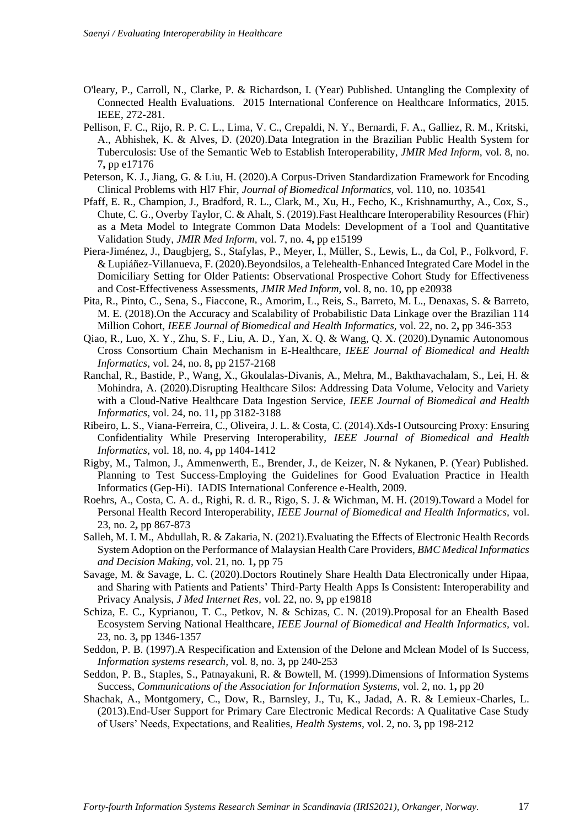- O'leary, P., Carroll, N., Clarke, P. & Richardson, I. (Year) Published. Untangling the Complexity of Connected Health Evaluations. 2015 International Conference on Healthcare Informatics, 2015. IEEE, 272-281.
- Pellison, F. C., Rijo, R. P. C. L., Lima, V. C., Crepaldi, N. Y., Bernardi, F. A., Galliez, R. M., Kritski, A., Abhishek, K. & Alves, D. (2020).Data Integration in the Brazilian Public Health System for Tuberculosis: Use of the Semantic Web to Establish Interoperability, *JMIR Med Inform,* vol. 8, no. 7**,** pp e17176
- Peterson, K. J., Jiang, G. & Liu, H. (2020).A Corpus-Driven Standardization Framework for Encoding Clinical Problems with Hl7 Fhir, *Journal of Biomedical Informatics,* vol. 110, no. 103541
- Pfaff, E. R., Champion, J., Bradford, R. L., Clark, M., Xu, H., Fecho, K., Krishnamurthy, A., Cox, S., Chute, C. G., Overby Taylor, C. & Ahalt, S. (2019).Fast Healthcare Interoperability Resources (Fhir) as a Meta Model to Integrate Common Data Models: Development of a Tool and Quantitative Validation Study, *JMIR Med Inform,* vol. 7, no. 4**,** pp e15199
- Piera-Jiménez, J., Daugbjerg, S., Stafylas, P., Meyer, I., Müller, S., Lewis, L., da Col, P., Folkvord, F. & Lupiáñez-Villanueva, F. (2020).Beyondsilos, a Telehealth-Enhanced Integrated Care Model in the Domiciliary Setting for Older Patients: Observational Prospective Cohort Study for Effectiveness and Cost-Effectiveness Assessments, *JMIR Med Inform,* vol. 8, no. 10**,** pp e20938
- Pita, R., Pinto, C., Sena, S., Fiaccone, R., Amorim, L., Reis, S., Barreto, M. L., Denaxas, S. & Barreto, M. E. (2018).On the Accuracy and Scalability of Probabilistic Data Linkage over the Brazilian 114 Million Cohort, *IEEE Journal of Biomedical and Health Informatics,* vol. 22, no. 2**,** pp 346-353
- Qiao, R., Luo, X. Y., Zhu, S. F., Liu, A. D., Yan, X. Q. & Wang, Q. X. (2020).Dynamic Autonomous Cross Consortium Chain Mechanism in E-Healthcare, *IEEE Journal of Biomedical and Health Informatics,* vol. 24, no. 8**,** pp 2157-2168
- Ranchal, R., Bastide, P., Wang, X., Gkoulalas-Divanis, A., Mehra, M., Bakthavachalam, S., Lei, H. & Mohindra, A. (2020).Disrupting Healthcare Silos: Addressing Data Volume, Velocity and Variety with a Cloud-Native Healthcare Data Ingestion Service, *IEEE Journal of Biomedical and Health Informatics,* vol. 24, no. 11**,** pp 3182-3188
- Ribeiro, L. S., Viana-Ferreira, C., Oliveira, J. L. & Costa, C. (2014).Xds-I Outsourcing Proxy: Ensuring Confidentiality While Preserving Interoperability, *IEEE Journal of Biomedical and Health Informatics,* vol. 18, no. 4**,** pp 1404-1412
- Rigby, M., Talmon, J., Ammenwerth, E., Brender, J., de Keizer, N. & Nykanen, P. (Year) Published. Planning to Test Success-Employing the Guidelines for Good Evaluation Practice in Health Informatics (Gep-Hi). IADIS International Conference e-Health, 2009.
- Roehrs, A., Costa, C. A. d., Righi, R. d. R., Rigo, S. J. & Wichman, M. H. (2019).Toward a Model for Personal Health Record Interoperability, *IEEE Journal of Biomedical and Health Informatics,* vol. 23, no. 2**,** pp 867-873
- Salleh, M. I. M., Abdullah, R. & Zakaria, N. (2021).Evaluating the Effects of Electronic Health Records System Adoption on the Performance of Malaysian Health Care Providers, *BMC Medical Informatics and Decision Making,* vol. 21, no. 1**,** pp 75
- Savage, M. & Savage, L. C. (2020).Doctors Routinely Share Health Data Electronically under Hipaa, and Sharing with Patients and Patients' Third-Party Health Apps Is Consistent: Interoperability and Privacy Analysis, *J Med Internet Res,* vol. 22, no. 9**,** pp e19818
- Schiza, E. C., Kyprianou, T. C., Petkov, N. & Schizas, C. N. (2019).Proposal for an Ehealth Based Ecosystem Serving National Healthcare, *IEEE Journal of Biomedical and Health Informatics,* vol. 23, no. 3**,** pp 1346-1357
- Seddon, P. B. (1997).A Respecification and Extension of the Delone and Mclean Model of Is Success, *Information systems research,* vol. 8, no. 3**,** pp 240-253
- Seddon, P. B., Staples, S., Patnayakuni, R. & Bowtell, M. (1999).Dimensions of Information Systems Success, *Communications of the Association for Information Systems,* vol. 2, no. 1**,** pp 20
- Shachak, A., Montgomery, C., Dow, R., Barnsley, J., Tu, K., Jadad, A. R. & Lemieux-Charles, L. (2013).End-User Support for Primary Care Electronic Medical Records: A Qualitative Case Study of Users' Needs, Expectations, and Realities, *Health Systems,* vol. 2, no. 3**,** pp 198-212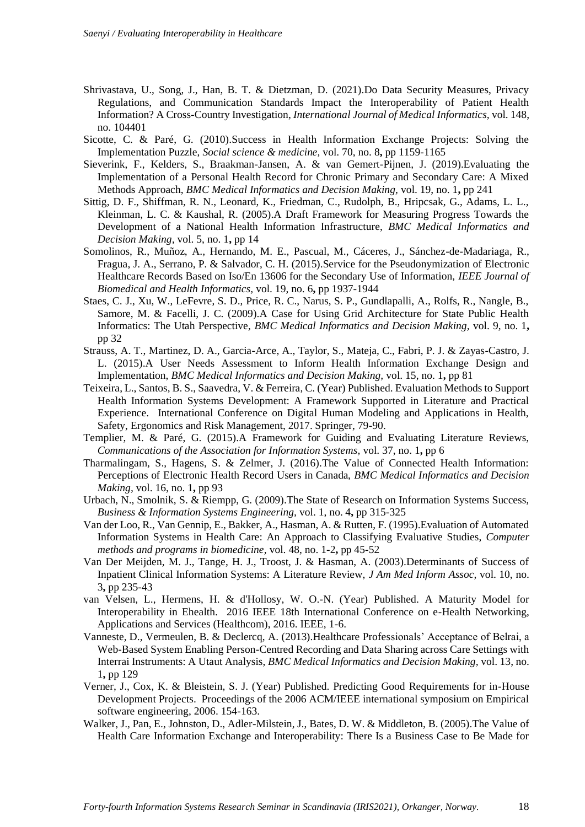- Shrivastava, U., Song, J., Han, B. T. & Dietzman, D. (2021).Do Data Security Measures, Privacy Regulations, and Communication Standards Impact the Interoperability of Patient Health Information? A Cross-Country Investigation, *International Journal of Medical Informatics,* vol. 148, no. 104401
- Sicotte, C. & Paré, G. (2010).Success in Health Information Exchange Projects: Solving the Implementation Puzzle, *Social science & medicine,* vol. 70, no. 8**,** pp 1159-1165
- Sieverink, F., Kelders, S., Braakman-Jansen, A. & van Gemert-Pijnen, J. (2019).Evaluating the Implementation of a Personal Health Record for Chronic Primary and Secondary Care: A Mixed Methods Approach, *BMC Medical Informatics and Decision Making,* vol. 19, no. 1**,** pp 241
- Sittig, D. F., Shiffman, R. N., Leonard, K., Friedman, C., Rudolph, B., Hripcsak, G., Adams, L. L., Kleinman, L. C. & Kaushal, R. (2005).A Draft Framework for Measuring Progress Towards the Development of a National Health Information Infrastructure, *BMC Medical Informatics and Decision Making,* vol. 5, no. 1**,** pp 14
- Somolinos, R., Muñoz, A., Hernando, M. E., Pascual, M., Cáceres, J., Sánchez-de-Madariaga, R., Fragua, J. A., Serrano, P. & Salvador, C. H. (2015).Service for the Pseudonymization of Electronic Healthcare Records Based on Iso/En 13606 for the Secondary Use of Information, *IEEE Journal of Biomedical and Health Informatics,* vol. 19, no. 6**,** pp 1937-1944
- Staes, C. J., Xu, W., LeFevre, S. D., Price, R. C., Narus, S. P., Gundlapalli, A., Rolfs, R., Nangle, B., Samore, M. & Facelli, J. C. (2009).A Case for Using Grid Architecture for State Public Health Informatics: The Utah Perspective, *BMC Medical Informatics and Decision Making,* vol. 9, no. 1**,** pp 32
- Strauss, A. T., Martinez, D. A., Garcia-Arce, A., Taylor, S., Mateja, C., Fabri, P. J. & Zayas-Castro, J. L. (2015).A User Needs Assessment to Inform Health Information Exchange Design and Implementation, *BMC Medical Informatics and Decision Making,* vol. 15, no. 1**,** pp 81
- Teixeira, L., Santos, B. S., Saavedra, V. & Ferreira, C. (Year) Published. Evaluation Methods to Support Health Information Systems Development: A Framework Supported in Literature and Practical Experience. International Conference on Digital Human Modeling and Applications in Health, Safety, Ergonomics and Risk Management, 2017. Springer, 79-90.
- Templier, M. & Paré, G. (2015).A Framework for Guiding and Evaluating Literature Reviews, *Communications of the Association for Information Systems,* vol. 37, no. 1**,** pp 6
- Tharmalingam, S., Hagens, S. & Zelmer, J. (2016).The Value of Connected Health Information: Perceptions of Electronic Health Record Users in Canada, *BMC Medical Informatics and Decision Making,* vol. 16, no. 1**,** pp 93
- Urbach, N., Smolnik, S. & Riempp, G. (2009).The State of Research on Information Systems Success, *Business & Information Systems Engineering,* vol. 1, no. 4**,** pp 315-325
- Van der Loo, R., Van Gennip, E., Bakker, A., Hasman, A. & Rutten, F. (1995).Evaluation of Automated Information Systems in Health Care: An Approach to Classifying Evaluative Studies, *Computer methods and programs in biomedicine,* vol. 48, no. 1-2**,** pp 45-52
- Van Der Meijden, M. J., Tange, H. J., Troost, J. & Hasman, A. (2003).Determinants of Success of Inpatient Clinical Information Systems: A Literature Review, *J Am Med Inform Assoc,* vol. 10, no. 3**,** pp 235-43
- van Velsen, L., Hermens, H. & d'Hollosy, W. O.-N. (Year) Published. A Maturity Model for Interoperability in Ehealth. 2016 IEEE 18th International Conference on e-Health Networking, Applications and Services (Healthcom), 2016. IEEE, 1-6.
- Vanneste, D., Vermeulen, B. & Declercq, A. (2013).Healthcare Professionals' Acceptance of Belrai, a Web-Based System Enabling Person-Centred Recording and Data Sharing across Care Settings with Interrai Instruments: A Utaut Analysis, *BMC Medical Informatics and Decision Making,* vol. 13, no. 1**,** pp 129
- Verner, J., Cox, K. & Bleistein, S. J. (Year) Published. Predicting Good Requirements for in-House Development Projects. Proceedings of the 2006 ACM/IEEE international symposium on Empirical software engineering, 2006. 154-163.
- Walker, J., Pan, E., Johnston, D., Adler-Milstein, J., Bates, D. W. & Middleton, B. (2005).The Value of Health Care Information Exchange and Interoperability: There Is a Business Case to Be Made for